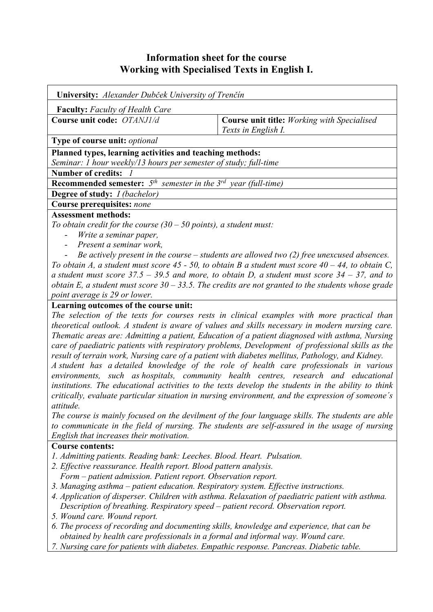# **Information sheet for the course Working with Specialised Texts in English I.**

| <b>University:</b> Alexander Dubček University of Trenčín                                            |                                                    |  |  |  |  |
|------------------------------------------------------------------------------------------------------|----------------------------------------------------|--|--|--|--|
| <b>Faculty:</b> Faculty of Health Care                                                               |                                                    |  |  |  |  |
| Course unit code: OTANJ1/d                                                                           | <b>Course unit title:</b> Working with Specialised |  |  |  |  |
|                                                                                                      | Texts in English I.                                |  |  |  |  |
| Type of course unit: optional                                                                        |                                                    |  |  |  |  |
| Planned types, learning activities and teaching methods:                                             |                                                    |  |  |  |  |
| Seminar: 1 hour weekly/13 hours per semester of study; full-time                                     |                                                    |  |  |  |  |
| <b>Number of credits:</b>                                                                            |                                                    |  |  |  |  |
| <b>Recommended semester:</b> $5^{th}$ semester in the $3^{rd}$ year (full-time)                      |                                                    |  |  |  |  |
| <b>Degree of study:</b> <i>I (bachelor)</i>                                                          |                                                    |  |  |  |  |
| Course prerequisites: none                                                                           |                                                    |  |  |  |  |
| <b>Assessment methods:</b>                                                                           |                                                    |  |  |  |  |
| To obtain credit for the course $(30 - 50$ points), a student must:                                  |                                                    |  |  |  |  |
| Write a seminar paper,                                                                               |                                                    |  |  |  |  |
| Present a seminar work,<br>$\sim$                                                                    |                                                    |  |  |  |  |
| Be actively present in the course $-$ students are allowed two (2) free unexcused absences.          |                                                    |  |  |  |  |
| To obtain A, a student must score 45 - 50, to obtain B a student must score $40 - 44$ , to obtain C, |                                                    |  |  |  |  |
| a student must score $37.5 - 39.5$ and more, to obtain D, a student must score $34 - 37$ , and to    |                                                    |  |  |  |  |
| obtain E, a student must score $30 - 33.5$ . The credits are not granted to the students whose grade |                                                    |  |  |  |  |

#### *point average is 29 or lower.* **Learning outcomes of the course unit:**

*The selection of the texts for courses rests in clinical examples with more practical than theoretical outlook. A student is aware of values and skills necessary in modern nursing care. Thematic areas are: Admitting a patient, Education of a patient diagnosed with asthma, Nursing care of paediatric patients with respiratory problems, Development of professional skills as the result of terrain work, Nursing care of a patient with diabetes mellitus, Pathology, and Kidney.* 

*A student has a detailed knowledge of the role of health care professionals in various environments, such as hospitals, community health centres, research and educational institutions. The educational activities to the texts develop the students in the ability to think critically, evaluate particular situation in nursing environment, and the expression of someone´s attitude.* 

*The course is mainly focused on the devilment of the four language skills. The students are able to communicate in the field of nursing. The students are self-assured in the usage of nursing English that increases their motivation.*

#### **Course contents:**

- *1. Admitting patients. Reading bank: Leeches. Blood. Heart. Pulsation.*
- *2. Effective reassurance. Health report. Blood pattern analysis.*
- *Form patient admission. Patient report. Observation report.*
- *3. Managing asthma patient education. Respiratory system. Effective instructions.*
- *4. Application of disperser. Children with asthma. Relaxation of paediatric patient with asthma. Description of breathing. Respiratory speed – patient record. Observation report.*
- *5. Wound care. Wound report.*
- *6. The process of recording and documenting skills, knowledge and experience, that can be obtained by health care professionals in a formal and informal way. Wound care.*
- *7. Nursing care for patients with diabetes. Empathic response. Pancreas. Diabetic table.*